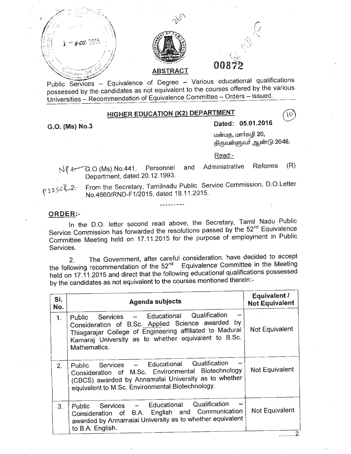

possessed by the candidates as not equivalent to the courses offered by the various Universities - Recommendation of Equivalence Committee - Orders - issued.

## **HIGHER EDUCATION (K2) DEPARTMENT**

**G.O. (Ms) NO.3**

**Dated: 05.01.2016**

மன்மத, மார்கழி 20, திருவள்ளுவர் ஆண்டு 2046.

ÍО

Read:-

Nf 4: G.O.(Ms).No.441, Personnel and Administrative Reforms (R) Department, dated 20,12,1993.

p 2256 3-2-: From the Secretary, Tamilnadu Public Service Commission, D.O.Letter No.4660/RND-F1/2015, dated 18.11.2015.

## **ORDER:-**

In the D.O. letter second read above, the Secretary, Tamil Nadu Public Service Commission has forwarded the resolutions passed by the 52<sup>nd</sup> Equivalence Committee Meeting held on 17.11.2015 for the purpose of employment in Public Services.

2. The Government, after careful consideration, have decided to accept the following recommendation of the 52<sup>nd</sup> Equivalence Committee in the Meeting held on 17.11.2015 and direct that the following educational qualifications possessed by the candidates as not equivalent to the courses mentioned therein:-

| SI.<br>No.     | <b>Agenda subjects</b>                                                                                                                                                                                                               | <b>Equivalent /</b><br><b>Not Equivalent</b> |
|----------------|--------------------------------------------------------------------------------------------------------------------------------------------------------------------------------------------------------------------------------------|----------------------------------------------|
| 1 <sub>1</sub> | Public Services - Educational Qualification<br>Consideration of B.Sc. Applied Science awarded by<br>Thiagarajar College of Engineering affiliated to Madurai<br>Kamaraj University as to whether equivalent to B.Sc.<br>Mathematics. | Not Equivalent                               |
| 2 <sub>1</sub> | Public Services - Educational Qualification<br>Consideration of M.Sc. Environmental Biotechnology<br>(CBCS) awarded by Annamalai University as to whether<br>equivalent to M.Sc. Environmental Biotechnology.                        | Not Equivalent                               |
| 3.             | Public Services - Educational Qualification<br>Consideration of B.A. English and Communication<br>awarded by Annamalai University as to whether equivalent<br>to B.A. English.                                                       | Not Equivalent                               |